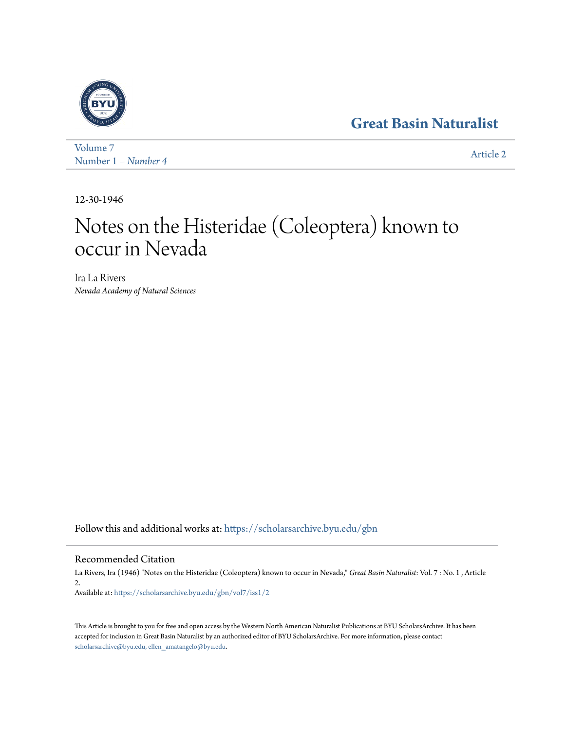## **[Great Basin Naturalist](https://scholarsarchive.byu.edu/gbn?utm_source=scholarsarchive.byu.edu%2Fgbn%2Fvol7%2Fiss1%2F2&utm_medium=PDF&utm_campaign=PDFCoverPages)**



[Volume 7](https://scholarsarchive.byu.edu/gbn/vol7?utm_source=scholarsarchive.byu.edu%2Fgbn%2Fvol7%2Fiss1%2F2&utm_medium=PDF&utm_campaign=PDFCoverPages) Number 1 *[– Number 4](https://scholarsarchive.byu.edu/gbn/vol7/iss1?utm_source=scholarsarchive.byu.edu%2Fgbn%2Fvol7%2Fiss1%2F2&utm_medium=PDF&utm_campaign=PDFCoverPages)* [Article 2](https://scholarsarchive.byu.edu/gbn/vol7/iss1/2?utm_source=scholarsarchive.byu.edu%2Fgbn%2Fvol7%2Fiss1%2F2&utm_medium=PDF&utm_campaign=PDFCoverPages)

12-30-1946

# Notes on the Histeridae (Coleoptera) known to occur in Nevada

Ira La Rivers *Nevada Academy of Natural Sciences*

Follow this and additional works at: [https://scholarsarchive.byu.edu/gbn](https://scholarsarchive.byu.edu/gbn?utm_source=scholarsarchive.byu.edu%2Fgbn%2Fvol7%2Fiss1%2F2&utm_medium=PDF&utm_campaign=PDFCoverPages)

## Recommended Citation

La Rivers, Ira (1946) "Notes on the Histeridae (Coleoptera) known to occur in Nevada," *Great Basin Naturalist*: Vol. 7 : No. 1 , Article 2. Available at: [https://scholarsarchive.byu.edu/gbn/vol7/iss1/2](https://scholarsarchive.byu.edu/gbn/vol7/iss1/2?utm_source=scholarsarchive.byu.edu%2Fgbn%2Fvol7%2Fiss1%2F2&utm_medium=PDF&utm_campaign=PDFCoverPages)

This Article is brought to you for free and open access by the Western North American Naturalist Publications at BYU ScholarsArchive. It has been accepted for inclusion in Great Basin Naturalist by an authorized editor of BYU ScholarsArchive. For more information, please contact [scholarsarchive@byu.edu, ellen\\_amatangelo@byu.edu.](mailto:scholarsarchive@byu.edu,%20ellen_amatangelo@byu.edu)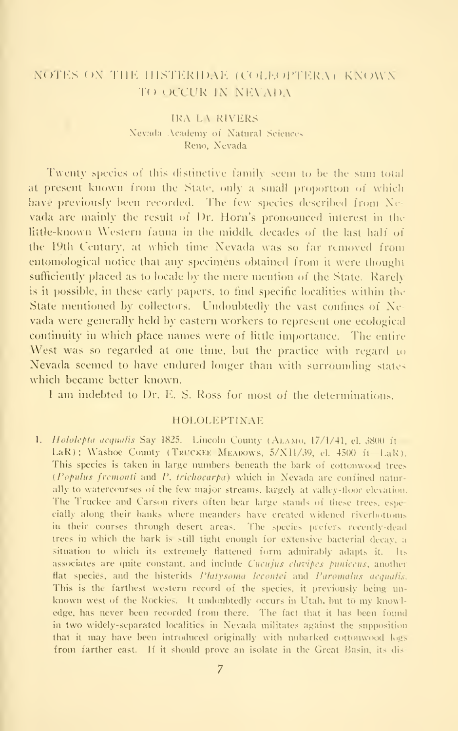## NOTES ON THE HISTERIDAE (COLEOPTERA) KNOWN TO OCCUR IN NEVADA

### **IRA LA RIVERS** Nevada Academy of Natural Sciences Reno, Nevada

Twenty species of this distinctive family seem to be the sum total at present known from the State, only a small proportion of which have previously been recorded. The few species described from Nevada are mainly the result of Dr. Horn's pronounced interest in the little-known Western fauna in the middle decades of the last half of the 19th Century, at which time Nevada was so far removed from entomological notice that any specimens obtained from it were thought sufficiently placed as to locale by the mere mention of the State. Rarely is it possible, in these early papers, to find specific localities within the State mentioned by collectors. Undoubtedly the vast confines of Nevada were generally held by eastern workers to represent one ecological continuity in which place names were of little importance. The entire West was so regarded at one time, but the practice with regard to Nevada seemed to have endured longer than with surrounding states which became better known.

I am indebted to Dr. E. S. Ross for most of the determinations.

#### **HOLOLEPTINAF**

1. Hololepta aequalis Say 1825. Lincoln County (ALAMO, 17/1/41, el. 3800 it LaR); Washoe County (TRUCKEE MEADOWS, 5/X11/39, el. 4500 ft-LaR). This species is taken in large numbers beneath the bark of cottonwood trees (Populus fremonti and P, trichocarpa) which in Nevada are confined naturally to watercourses of the few major streams, largely at valley-floor elevation. The Truckee and Carson rivers often bear large stands of these trees, especially along their banks where meanders have created widened riverbottoms in their courses through desert areas. The species prefers recently-dead trees in which the bark is still tight enough for extensive bacterial decay, a situation to which its extremely flattened form admirably adapts it. Its associates are quite constant, and include *Cucujus clavipes punicens*, another flat species, and the histerids Platysoma lecontei and Paromalus aequalis. This is the farthest western record of the species, it previously being unknown west of the Rockies. It undoubtedly occurs in Utah, but to my knowledge, has never been recorded from there. The fact that it has been found in two widely-separated localities in Nevada militates against the supposition that it may have been introduced originally with unbarked cottonwood logs from farther east. If it should prove an isolate in the Great Basin, its dis-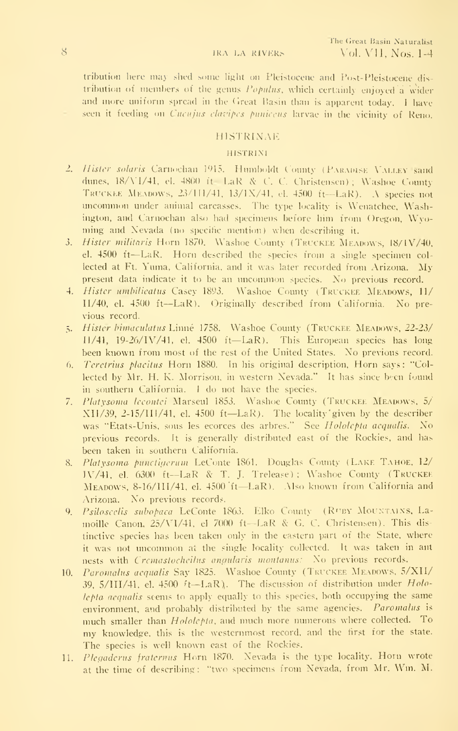#### **IRA LA RIVERS**

tribution here may shed some light on Pleistocene and Post-Pleistocene distribution of members of the genus Populus, which certainly enjoyed a wider and more uniform spread in the Great Basin than is apparent today. I have seen it feeding on Cucujus clavipes puniceus larvae in the vicinity of Reno.

#### **HISTRINAE**

#### **HISTRINI**

- 2. Hister solaris Carnochan 1915. Humboldt County (PARADISE VALLEY sand dunes, 18/VI/41, el. 4800 it LaR & C. C. Christensen); Washoe County TRUCKEE MEADOWS, 23/111/41, 13/1X/41, el. 4500 ft-LaR). A species not uncommon under animal carcasses. The type locality is Wenatchee, Washington, and Carnochan also had specimens before him from Oregon, Wyoming and Nevada (no specific mention) when describing it.
- 3. Hister militaris Horn 1870. Washoe County (TRUCKEE MEADOWS, 18/1V/40, el. 4500 ft-LaR. Horn described the species from a single specimen collected at Ft. Yuma, California, and it was later recorded from Arizona. My present data indicate it to be an uncommon species. No previous record.
- 4. Hister umbilicatus Casey 1893. Washoe County (TRUCKEE MEADOWS, 11/ II/40, el. 4500 ft--LaR). Originally described from California. No previous record.
- 5. Hister bimaculatus Linné 1758. Washoe County (TRUCKEE MEADOWS, 22-23/  $11/41$ ,  $19-26/1V/41$ , el.  $4500$  ft-LaR). This European species has long been known from most of the rest of the United States. No previous record.
- Teretrius placitus Horn 1880. In his original description, Horn says: "Col-6. lected by Mr. H. K. Morrison, in western Nevada." It has since been found in southern California. I do not have the species.
- 7. Platysoma lecontei Marseul 1853. Washoe County (TRUCKEE MEADOWS, 5/  $XII/39$ , 2-15/III/41, el. 4500 ft-LaR). The locality given by the describer was "Etats-Unis, sous les ecorces des arbres." See Hololepta acqualis. No previous records. It is generally distributed east of the Rockies, and has been taken in southern California.
- Platysoma punctigerum LeConte 1861. Douglas County (LAKE TAHOE, 12/ 8. IV/41, el. 6300 ft--LaR & T. J. Trelease); Washoe County (TRUCKEE MEADOWS, 8-16/HI/41, el. 4500 ft-LaR). Also known from California and Arizona. No previous records.
- 9. Psiloscelis subopaca LeConte 1863. Elko County (RUBY MOUNTAINS, Lamoille Canon, 25/VI/41, el 7000 ft-LaR & G. C. Christensen). This distinctive species has been taken only in the eastern part of the State, where it was not uncommon at the single locality collected. It was taken in ant nests with Cremastocheilus angularis montanus: No previous records.
- 10. Paromalus acqualis Say 1825. Washoe County (TRUCKEE MEADOWS, 5/XII/ 39,  $5/III/41$ , el.  $4500$   $\ell$ -LaR). The discussion of distribution under  $Holo$ lepta aequalis seems to apply equally to this species, both occupying the same environment, and probably distributed by the same agencies. Paromalus is much smaller than *Hololepta*, and much more numerous where collected. To my knowledge, this is the westernmost record, and the first for the state. The species is well known east of the Rockies.
- Plegaderus fraternus Horn 1870. Nevada is the type locality. Horn wrote  $11.$ at the time of describing: "two specimens from Nevada, from Mr. Wm. M.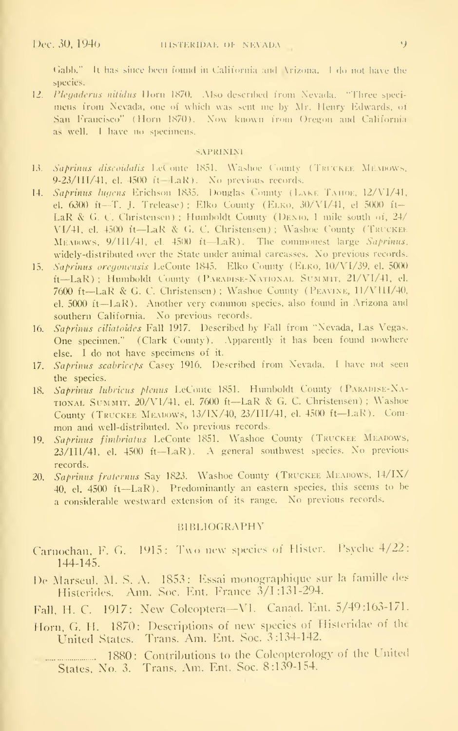Gabb." It has since been found in California and Arizona. I do not have the species.

12. Plegaderus nitidus Horn 1870. Mso described from Nevada. "Three specimens from Nevada, one of which was sent me by Mr. Henry Edwards, of San Francisco" (Horn 1870). Now known from Oregon and California as well. I have no specimens.

#### **SAPRININI**

- 13. Saprinus discoidalis LeConte 1851. Washoe County (TRUCKEE MEMOWS, 9-23/HI/41, el. 4500 ft=-LaR). No previous records.
- $14.$ Saprinus lugens Erichson 1835. Douglas County (LAKE TAHOE, 12/VI/41, el. 6300 ft-T. J. Trelease) ; Elko County (ELKO, 30/VI/41, el 5000 ft-LaR & G. C. Christensen) ; Humboldt County (DENIO, 1 mile south of, 24/ VI/41, el. 4500 it-LaR & G. C. Christensen); Washoe County (TRUCKEE MEADOWS, 9/1H/41, el. 4500 it-LaR). The commonest large Saprimus, widely-distributed over the State under animal carcasses. No previous records.
- Saprinus oregonensis LeConte 1845. Elko County (ELKO, 10/VI/39, el. 5000)  $15.$ ft-LaR); Humboldt County (PARADISE-NATIONAL SUMMIT, 21/VI/41, el. 7600 ft-LaR & G. C. Christensen); Washoe County (PEAVINE, 11/V11I/40, el.  $5000$  ft- $LaR$ ). Another very common species, also found in Arizona and southern California. No previous records.
- 16. Saprinus ciliatoides Fall 1917. Described by Fall from "Nevada, Las Vegas. One specimen." (Clark County). Apparently it has been found nowhere else. I do not have specimens of it.
- 17. Saprinus scabriceps Casey 1916. Described from Nevada. I have not seen the species.
- 18. Saprinus Inbrieus plenus LeConte 1851. Humboldt County (PARADISE-NA-TIONAL SUMMIT, 20/V1/41, el. 7600 ft-LaR & G. C. Christensen); Washoe County (TRUCKEE MEADOWS, 13/IX/40, 23/III/41, el. 4500 ft-LaR). Common and well-distributed. No previous records.
- 19. Saprinus fimbriatus LeConte 1851. Washoe County (TRUCKEE MEADOWS, 23/III/41, el. 4500 ft-LaR). A general southwest species. No previous records.
- 20. Saprinus fraternus Say 1823. Washoe County (TRUCKEE MEADOWS, 14/IX/ 40, el. 4500 ft-LaR). Predominantly an eastern species, this seems to be a considerable westward extension of its range. No previous records.

#### **BIBLIOGRAPHY**

- Carnochan, F. G. 1915: Two new species of Hister. Psyche 4/22:  $144 - 145.$
- De Marseul, M. S. A. 1853: Essai monographique sur la famille des Histerides. Ann. Soc. Ent. France 3/1:131-294.
- Fall, H. C. 1917: New Coleoptera-VI. Canad. Ent. 5/49:163-171.
- Horn, G. H. 1870: Descriptions of new species of Histeridae of the United States. Trans. Am. Ent. Soc. 3:134-142.

1880: Contributions to the Coleopterology of the United States, No. 3. Trans. Am. Ent. Soc. 8:139-154.